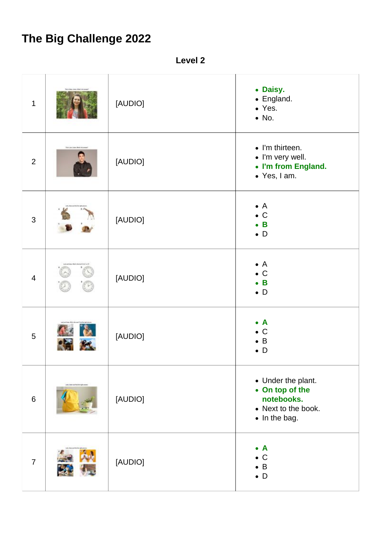## **The Big Challenge 2022**

**Level 2**

| $\mathbf 1$    |                                  | [AUDIO] | • Daisy.<br>• England.<br>• Yes.<br>$\bullet$ No.                                           |
|----------------|----------------------------------|---------|---------------------------------------------------------------------------------------------|
| $\overline{2}$ | <b>Renounce Lower Members</b>    | [AUDIO] | • I'm thirteen.<br>· I'm very well.<br>• I'm from England.<br>• Yes, I am.                  |
| $\mathfrak{S}$ |                                  | [AUDIO] | $\bullet$ A<br>$\bullet$ C<br>$\bullet$ B<br>$\bullet$ D                                    |
| $\overline{4}$ |                                  | [AUDIO] | $\bullet$ A<br>$\bullet$ C<br>$\bullet$ B<br>$\bullet$ D                                    |
| 5              |                                  | [AUDIO] | $\bullet$ A<br>$\bullet$ C<br>$\bullet$ B<br>$\bullet$ D                                    |
| $6\phantom{1}$ | and, limer and had beniget areas | [AUDIO] | • Under the plant.<br>• On top of the<br>notebooks.<br>• Next to the book.<br>• In the bag. |
| $\overline{7}$ |                                  | [AUDIO] | $\bullet$ A<br>$\bullet$ C<br>$\bullet$ B<br>$\bullet$ D                                    |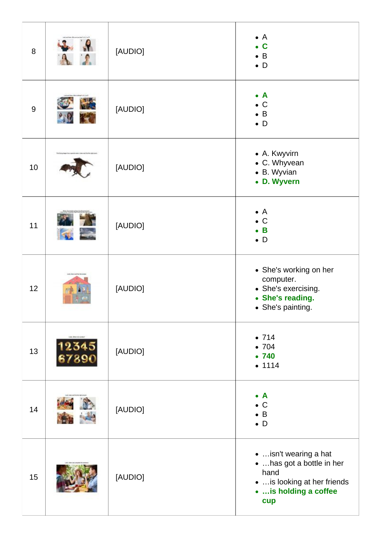| 8     |                                      | [AUDIO] | $\bullet$ A<br>$\bullet$ C<br>$\bullet$ B<br>$\bullet$ D                                                             |
|-------|--------------------------------------|---------|----------------------------------------------------------------------------------------------------------------------|
| $9\,$ | P                                    | [AUDIO] | $\bullet$ A<br>$\bullet$ C<br>$\bullet$ B<br>$\bullet$ D                                                             |
| 10    | dal sono i intercinal finalità vigno | [AUDIO] | • A. Kwyvirn<br>• C. Whyvean<br>• B. Wyvian<br>• D. Wyvern                                                           |
| 11    |                                      | [AUDIO] | $\bullet$ A<br>$\bullet$ C<br>$\bullet$ B<br>$\bullet$ D                                                             |
| 12    |                                      | [AUDIO] | • She's working on her<br>computer.<br>• She's exercising.<br>• She's reading.<br>• She's painting.                  |
| 13    |                                      | [AUDIO] | •714<br>•704<br>•740<br>• 1114                                                                                       |
| 14    |                                      | [AUDIO] | $\bullet$ A<br>$\bullet$ C<br>$\bullet$ B<br>$\bullet$ D                                                             |
| 15    |                                      | [AUDIO] | isn't wearing a hat<br>•  has got a bottle in her<br>hand<br>is looking at her friends<br>is holding a coffee<br>cup |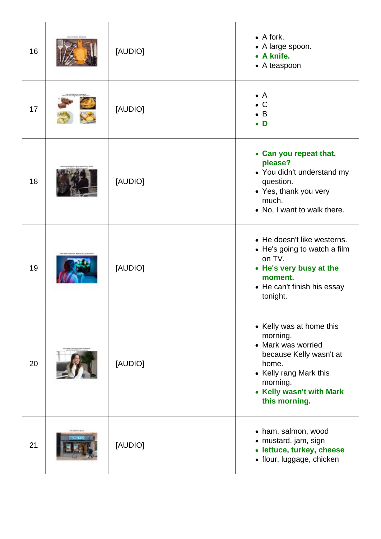| 16 | [AUDIO] | $\bullet$ A fork.<br>• A large spoon.<br>• A knife.<br>• A teaspoon                                                                                                               |
|----|---------|-----------------------------------------------------------------------------------------------------------------------------------------------------------------------------------|
| 17 | [AUDIO] | $\bullet$ A<br>$\bullet$ C<br>$\bullet$ B<br>$\bullet$ D                                                                                                                          |
| 18 | [AUDIO] | • Can you repeat that,<br>please?<br>• You didn't understand my<br>question.<br>• Yes, thank you very<br>much.<br>• No, I want to walk there.                                     |
| 19 | [AUDIO] | • He doesn't like westerns.<br>• He's going to watch a film<br>on TV.<br>• He's very busy at the<br>moment.<br>• He can't finish his essay<br>tonight.                            |
| 20 | [AUDIO] | • Kelly was at home this<br>morning.<br>• Mark was worried<br>because Kelly wasn't at<br>home.<br>• Kelly rang Mark this<br>morning.<br>• Kelly wasn't with Mark<br>this morning. |
| 21 | [AUDIO] | • ham, salmon, wood<br>• mustard, jam, sign<br>• lettuce, turkey, cheese<br>· flour, luggage, chicken                                                                             |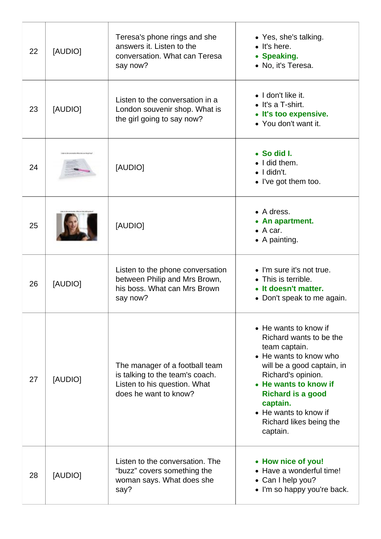| 22 | [AUDIO] | Teresa's phone rings and she<br>answers it. Listen to the<br>conversation. What can Teresa<br>say now?                     | • Yes, she's talking.<br>$\bullet$ It's here.<br>• Speaking.<br>• No, it's Teresa.                                                                                                                                                                                               |
|----|---------|----------------------------------------------------------------------------------------------------------------------------|----------------------------------------------------------------------------------------------------------------------------------------------------------------------------------------------------------------------------------------------------------------------------------|
| 23 | [AUDIO] | Listen to the conversation in a<br>London souvenir shop. What is<br>the girl going to say now?                             | $\bullet$ I don't like it.<br>• It's a T-shirt.<br>• It's too expensive.<br>• You don't want it.                                                                                                                                                                                 |
| 24 |         | [AUDIO]                                                                                                                    | • So did I.<br>$\bullet$ I did them.<br>$\bullet$   didn't.<br>• I've got them too.                                                                                                                                                                                              |
| 25 |         | [AUDIO]                                                                                                                    | • A dress.<br>• An apartment.<br>$\bullet$ A car.<br>$\bullet$ A painting.                                                                                                                                                                                                       |
| 26 | [AUDIO] | Listen to the phone conversation<br>between Philip and Mrs Brown,<br>his boss. What can Mrs Brown<br>say now?              | • I'm sure it's not true.<br>• This is terrible.<br>• It doesn't matter.<br>• Don't speak to me again.                                                                                                                                                                           |
| 27 | [AUDIO] | The manager of a football team<br>is talking to the team's coach.<br>Listen to his question. What<br>does he want to know? | • He wants to know if<br>Richard wants to be the<br>team captain.<br>• He wants to know who<br>will be a good captain, in<br>Richard's opinion.<br>• He wants to know if<br><b>Richard is a good</b><br>captain.<br>• He wants to know if<br>Richard likes being the<br>captain. |
| 28 | [AUDIO] | Listen to the conversation. The<br>"buzz" covers something the<br>woman says. What does she<br>say?                        | • How nice of you!<br>• Have a wonderful time!<br>• Can I help you?<br>• I'm so happy you're back.                                                                                                                                                                               |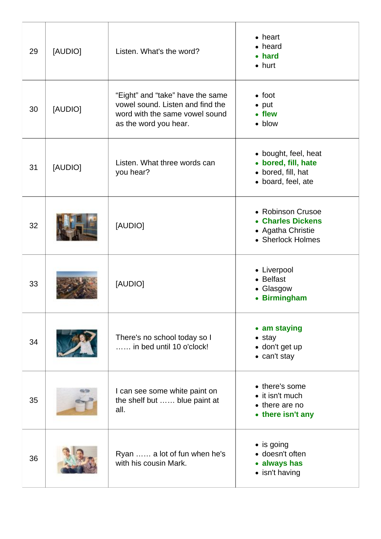| 29 | [AUDIO] | Listen. What's the word?                                                                                                        | $\bullet$ heart<br>• heard<br>• hard<br>$\bullet$ hurt                                  |
|----|---------|---------------------------------------------------------------------------------------------------------------------------------|-----------------------------------------------------------------------------------------|
| 30 | [AUDIO] | "Eight" and "take" have the same<br>vowel sound. Listen and find the<br>word with the same vowel sound<br>as the word you hear. | $\bullet$ foot<br>$\bullet$ put<br>• flew<br>• blow                                     |
| 31 | [AUDIO] | Listen. What three words can<br>you hear?                                                                                       | • bought, feel, heat<br>• bored, fill, hate<br>• bored, fill, hat<br>• board, feel, ate |
| 32 |         | [AUDIO]                                                                                                                         | • Robinson Crusoe<br>• Charles Dickens<br>• Agatha Christie<br>• Sherlock Holmes        |
| 33 |         | [AUDIO]                                                                                                                         | • Liverpool<br>• Belfast<br>• Glasgow<br>• Birmingham                                   |
| 34 |         | There's no school today so I<br>in bed until 10 o'clock!                                                                        | • am staying<br>$\bullet$ stay<br>• don't get up<br>• can't stay                        |
| 35 |         | I can see some white paint on<br>the shelf but  blue paint at<br>all.                                                           | • there's some<br>$\bullet$ it isn't much<br>• there are no<br>• there isn't any        |
| 36 |         | Ryan  a lot of fun when he's<br>with his cousin Mark.                                                                           | • is going<br>• doesn't often<br>• always has<br>• isn't having                         |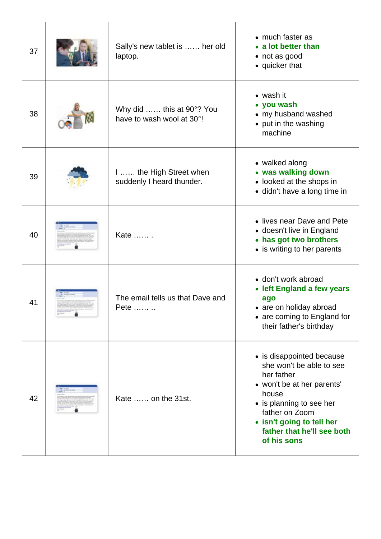| 37 | Sally's new tablet is  her old<br>laptop.              | • much faster as<br>• a lot better than<br>• not as good<br>• quicker that                                                                                                                                                         |
|----|--------------------------------------------------------|------------------------------------------------------------------------------------------------------------------------------------------------------------------------------------------------------------------------------------|
| 38 | Why did  this at 90°? You<br>have to wash wool at 30°! | • wash it<br>• you wash<br>• my husband washed<br>• put in the washing<br>machine                                                                                                                                                  |
| 39 | I  the High Street when<br>suddenly I heard thunder.   | • walked along<br>• was walking down<br>• looked at the shops in<br>· didn't have a long time in                                                                                                                                   |
| 40 | Kate                                                   | • lives near Dave and Pete<br>• doesn't live in England<br>• has got two brothers<br>• is writing to her parents                                                                                                                   |
| 41 | The email tells us that Dave and<br>Pete               | · don't work abroad<br>• left England a few years<br>ago<br>• are on holiday abroad<br>• are coming to England for<br>their father's birthday                                                                                      |
| 42 | Kate  on the 31st.                                     | • is disappointed because<br>she won't be able to see<br>her father<br>• won't be at her parents'<br>house<br>• is planning to see her<br>father on Zoom<br>• isn't going to tell her<br>father that he'll see both<br>of his sons |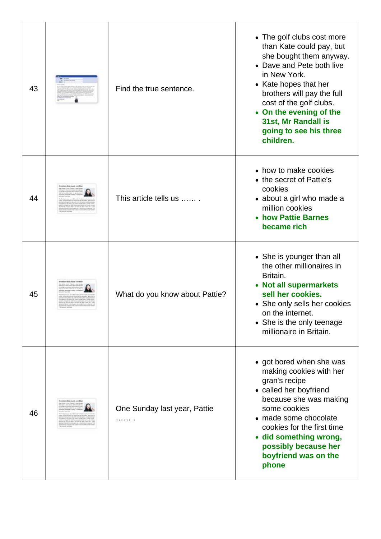| 43 | Find the true sentence.        | • The golf clubs cost more<br>than Kate could pay, but<br>she bought them anyway.<br>• Dave and Pete both live<br>in New York.<br>• Kate hopes that her<br>brothers will pay the full<br>cost of the golf clubs.<br>• On the evening of the<br>31st, Mr Randall is<br>going to see his three<br>children. |
|----|--------------------------------|-----------------------------------------------------------------------------------------------------------------------------------------------------------------------------------------------------------------------------------------------------------------------------------------------------------|
| 44 | This article tells us          | • how to make cookies<br>• the secret of Pattie's<br>cookies<br>• about a girl who made a<br>million cookies<br>• how Pattie Barnes<br>became rich                                                                                                                                                        |
| 45 | What do you know about Pattie? | • She is younger than all<br>the other millionaires in<br>Britain.<br>• Not all supermarkets<br>sell her cookies.<br>• She only sells her cookies<br>on the internet.<br>• She is the only teenage<br>millionaire in Britain.                                                                             |
| 46 | One Sunday last year, Pattie   | • got bored when she was<br>making cookies with her<br>gran's recipe<br>• called her boyfriend<br>because she was making<br>some cookies<br>• made some chocolate<br>cookies for the first time<br>· did something wrong,<br>possibly because her<br>boyfriend was on the<br>phone                        |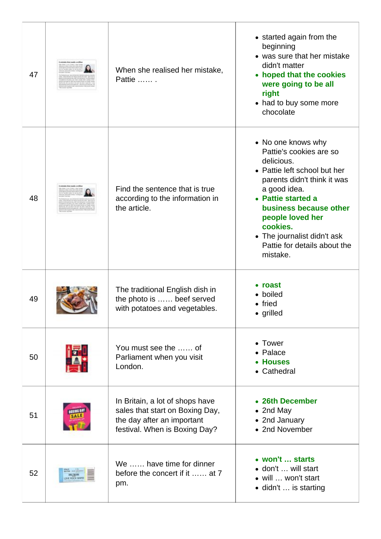| 47 |               | When she realised her mistake,<br>Pattie                                                                                          | • started again from the<br>beginning<br>• was sure that her mistake<br>didn't matter<br>hoped that the cookies<br>were going to be all<br>right<br>• had to buy some more<br>chocolate                                                                                                               |
|----|---------------|-----------------------------------------------------------------------------------------------------------------------------------|-------------------------------------------------------------------------------------------------------------------------------------------------------------------------------------------------------------------------------------------------------------------------------------------------------|
| 48 |               | Find the sentence that is true<br>according to the information in<br>the article.                                                 | • No one knows why<br>Pattie's cookies are so<br>delicious.<br>• Pattie left school but her<br>parents didn't think it was<br>a good idea.<br>• Pattie started a<br>business because other<br>people loved her<br>cookies.<br>• The journalist didn't ask<br>Pattie for details about the<br>mistake. |
| 49 |               | The traditional English dish in<br>the photo is  beef served<br>with potatoes and vegetables.                                     | • roast<br>• boiled<br>• fried<br>· grilled                                                                                                                                                                                                                                                           |
| 50 |               | You must see the  of<br>Parliament when you visit<br>London.                                                                      | • Tower<br>• Palace<br>• Houses<br>• Cathedral                                                                                                                                                                                                                                                        |
| 51 | texthe DAY    | In Britain, a lot of shops have<br>sales that start on Boxing Day,<br>the day after an important<br>festival. When is Boxing Day? | • 26th December<br>• 2nd May<br>• 2nd January<br>• 2nd November                                                                                                                                                                                                                                       |
| 52 | THE ROCK GARD | We  have time for dinner<br>before the concert if it  at 7<br>pm.                                                                 | • won't  starts<br>• don't  will start<br>• will  won't start<br>• didn't  is starting                                                                                                                                                                                                                |